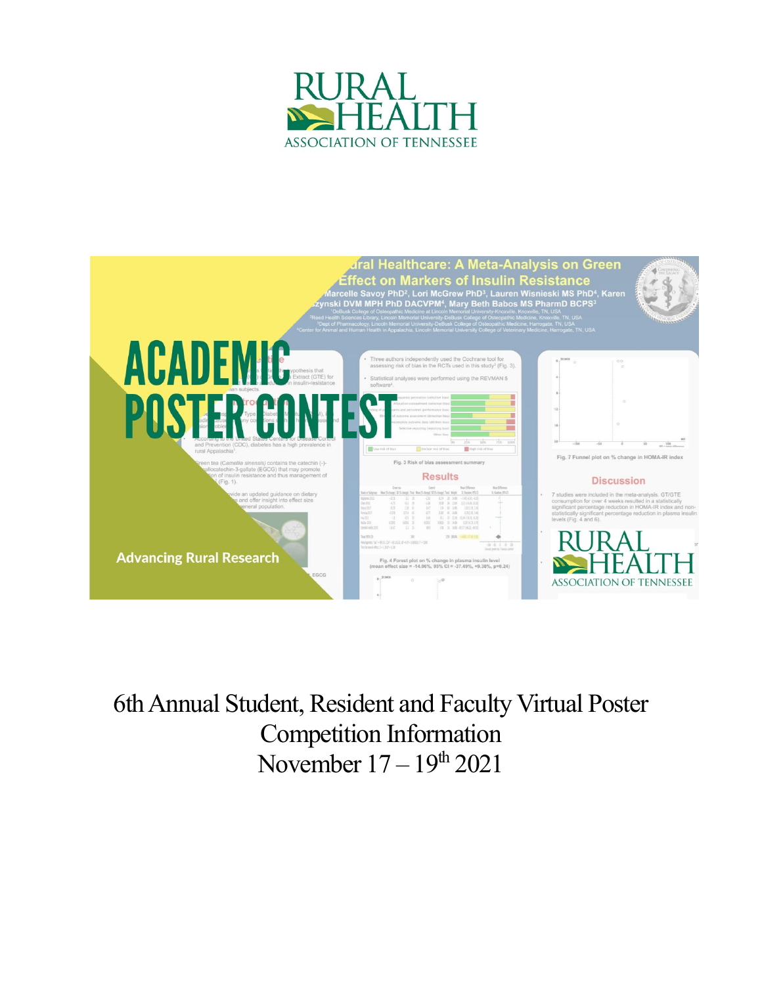



6th Annual Student, Resident and Faculty Virtual Poster Competition Information November  $17 - 19<sup>th</sup> 2021$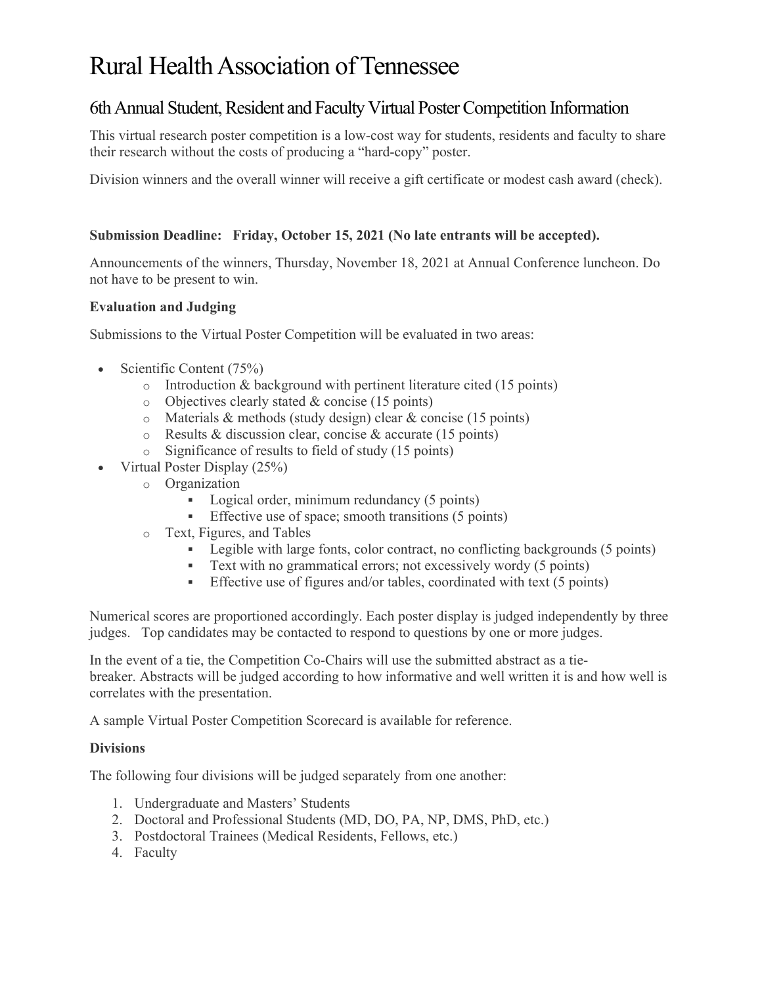# Rural Health Association of Tennessee

# 6th Annual Student, Resident and Faculty Virtual Poster Competition Information

This virtual research poster competition is a low-cost way for students, residents and faculty to share their research without the costs of producing a "hard-copy" poster.

Division winners and the overall winner will receive a gift certificate or modest cash award (check).

## **Submission Deadline: Friday, October 15, 2021 (No late entrants will be accepted).**

Announcements of the winners, Thursday, November 18, 2021 at Annual Conference luncheon. Do not have to be present to win.

#### **Evaluation and Judging**

Submissions to the Virtual Poster Competition will be evaluated in two areas:

- Scientific Content (75%)
	- o Introduction & background with pertinent literature cited (15 points)
	- o Objectives clearly stated & concise (15 points)
	- o Materials & methods (study design) clear & concise (15 points)
	- o Results & discussion clear, concise & accurate (15 points)
	- o Significance of results to field of study (15 points)
- Virtual Poster Display (25%)
	- o Organization
		- Logical order, minimum redundancy (5 points)
		- **Effective use of space; smooth transitions (5 points)**
	- o Text, Figures, and Tables
		- Elegible with large fonts, color contract, no conflicting backgrounds (5 points)
		- Text with no grammatical errors; not excessively wordy (5 points)
		- Effective use of figures and/or tables, coordinated with text  $(5 \text{ points})$

Numerical scores are proportioned accordingly. Each poster display is judged independently by three judges. Top candidates may be contacted to respond to questions by one or more judges.

In the event of a tie, the Competition Co-Chairs will use the submitted abstract as a tiebreaker. Abstracts will be judged according to how informative and well written it is and how well is correlates with the presentation.

A sample Virtual Poster Competition Scorecard is available for reference.

#### **Divisions**

The following four divisions will be judged separately from one another:

- 1. Undergraduate and Masters' Students
- 2. Doctoral and Professional Students (MD, DO, PA, NP, DMS, PhD, etc.)
- 3. Postdoctoral Trainees (Medical Residents, Fellows, etc.)
- 4. Faculty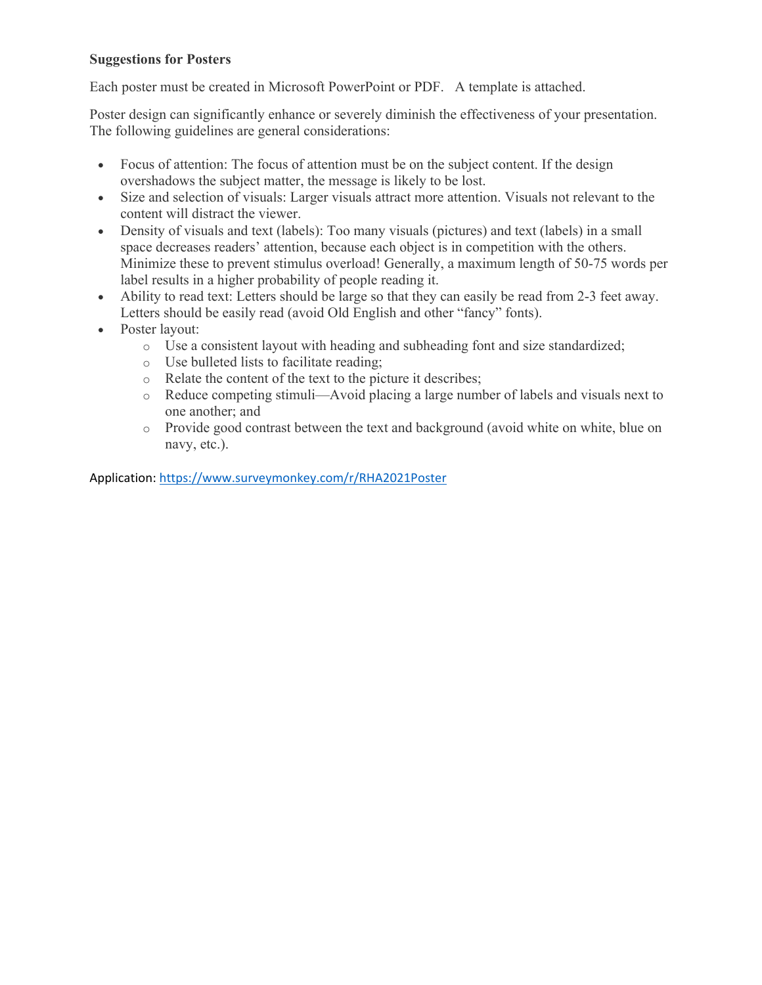## **Suggestions for Posters**

Each poster must be created in Microsoft PowerPoint or PDF. A template is attached.

Poster design can significantly enhance or severely diminish the effectiveness of your presentation. The following guidelines are general considerations:

- Focus of attention: The focus of attention must be on the subject content. If the design overshadows the subject matter, the message is likely to be lost.
- Size and selection of visuals: Larger visuals attract more attention. Visuals not relevant to the content will distract the viewer.
- Density of visuals and text (labels): Too many visuals (pictures) and text (labels) in a small space decreases readers' attention, because each object is in competition with the others. Minimize these to prevent stimulus overload! Generally, a maximum length of 50-75 words per label results in a higher probability of people reading it.
- Ability to read text: Letters should be large so that they can easily be read from 2-3 feet away. Letters should be easily read (avoid Old English and other "fancy" fonts).
- Poster layout:
	- o Use a consistent layout with heading and subheading font and size standardized;
	- o Use bulleted lists to facilitate reading;
	- o Relate the content of the text to the picture it describes;
	- o Reduce competing stimuli—Avoid placing a large number of labels and visuals next to one another; and
	- o Provide good contrast between the text and background (avoid white on white, blue on navy, etc.).

Application:<https://www.surveymonkey.com/r/RHA2021Poster>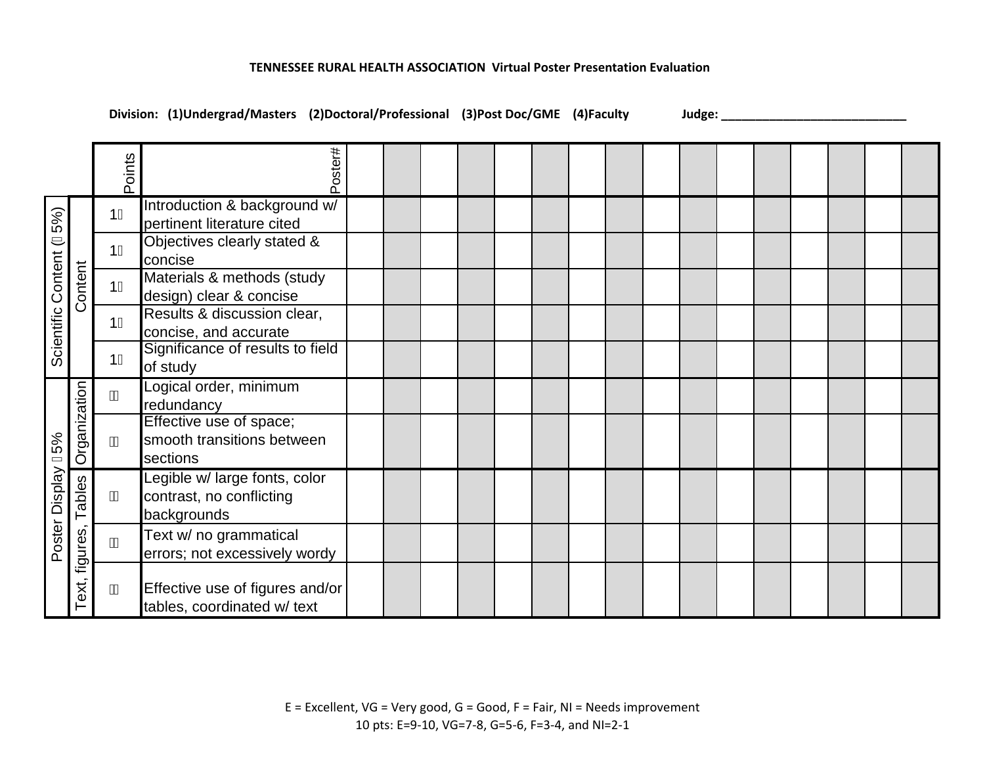#### **TENNESSEE RURAL HEALTH ASSOCIATION Virtual Poster Presentation Evaluation**

**Division: (1)Undergrad/Masters (2)Doctoral/Professional (3)Post Doc/GME (4)Faculty Judge: \_\_\_\_\_\_\_\_\_\_\_\_\_\_\_\_\_\_\_\_\_\_\_\_\_\_\_**

|                             |                    | Points | Poster#                                                                  |  |  |  |  |  |  |  |  |
|-----------------------------|--------------------|--------|--------------------------------------------------------------------------|--|--|--|--|--|--|--|--|
| 5%)<br>Scientific Content ( | Content            | 11     | Introduction & background w/<br>pertinent literature cited               |  |  |  |  |  |  |  |  |
|                             |                    | 11     | Objectives clearly stated &<br>concise                                   |  |  |  |  |  |  |  |  |
|                             |                    | 11     | Materials & methods (study<br>design) clear & concise                    |  |  |  |  |  |  |  |  |
|                             |                    | 11     | Results & discussion clear,<br>concise, and accurate                     |  |  |  |  |  |  |  |  |
|                             |                    | 11     | Significance of results to field<br>of study                             |  |  |  |  |  |  |  |  |
| Poster Display G5%          | Organization       | Á      | Logical order, minimum<br>redundancy                                     |  |  |  |  |  |  |  |  |
|                             |                    | Á      | Effective use of space;<br>smooth transitions between<br>sections        |  |  |  |  |  |  |  |  |
|                             | Tables<br>figures, | Á      | Legible w/ large fonts, color<br>contrast, no conflicting<br>backgrounds |  |  |  |  |  |  |  |  |
|                             |                    | Á      | Text w/ no grammatical<br>errors; not excessively wordy                  |  |  |  |  |  |  |  |  |
|                             | ext,<br>⊢          | Á      | Effective use of figures and/or<br>tables, coordinated w/ text           |  |  |  |  |  |  |  |  |